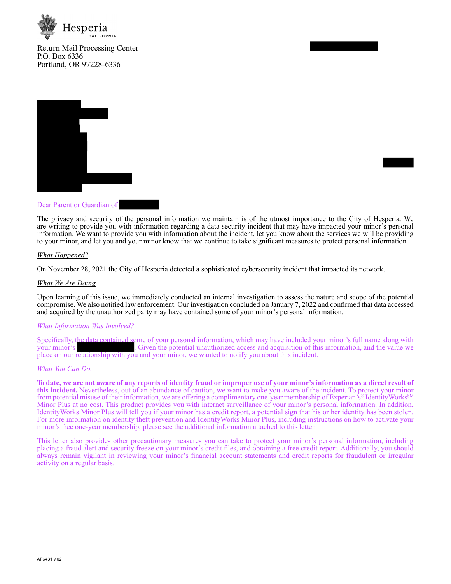

Return Mail Processing Center P.O. Box 6336 Portland, OR 97228-6336



### Dear Parent or Guardian of

The privacy and security of the personal information we maintain is of the utmost importance to the City of Hesperia. We are writing to provide you with information regarding a data security incident that may have impacted your minor's personal information. We want to provide you with information about the incident, let you know about the services we will be providing to your minor, and let you and your minor know that we continue to take significant measures to protect personal information.

#### *What Happened?*

On November 28, 2021 the City of Hesperia detected a sophisticated cybersecurity incident that impacted its network.

#### *What We Are Doing.*

Upon learning of this issue, we immediately conducted an internal investigation to assess the nature and scope of the potential compromise. We also notified law enforcement. Our investigation concluded on January 7, 2022 and confirmed that data accessed and acquired by the unauthorized party may have contained some of your minor's personal information.

#### *What Information Was Involved?*

Specifically, the data contained some of your personal information, which may have included your minor's full name along with . Given the potential unauthorized access and acquisition of this information, and the value we place on our relationship with you and your minor, we wanted to notify you about this incident.

#### *What You Can Do.*

**To date, we are not aware of any reports of identity fraud or improper use of your minor's information as a direct result of this incident.** Nevertheless, out of an abundance of caution, we want to make you aware of the incident. To protect your minor from potential misuse of their information, we are offering a complimentary one-year membership of Experian's® IdentityWorks<sup>SM</sup> Minor Plus at no cost. This product provides you with internet surveillance of your minor's personal information. In addition, IdentityWorks Minor Plus will tell you if your minor has a credit report, a potential sign that his or her identity has been stolen. For more information on identity theft prevention and IdentityWorks Minor Plus, including instructions on how to activate your minor's free one-year membership, please see the additional information attached to this letter.

This letter also provides other precautionary measures you can take to protect your minor's personal information, including placing a fraud alert and security freeze on your minor's credit files, and obtaining a free credit report. Additionally, you should always remain vigilant in reviewing your minor's financial account statements and credit reports for fraudulent or irregular activity on a regular basis.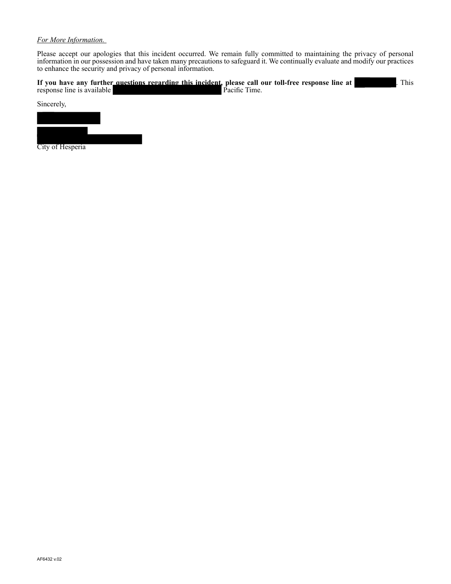# *For More Information.*

Please accept our apologies that this incident occurred. We remain fully committed to maintaining the privacy of personal information in our possession and have taken many precautions to safeguard it. We continually evaluate and modify our practices to enhance the security and privacy of personal information.

|                            | If you have any further questions regarding this incident, please call our toll-free response line at | This |
|----------------------------|-------------------------------------------------------------------------------------------------------|------|
| response line is available | <b>Pacific Time.</b>                                                                                  |      |

Sincerely,



City of Hesperia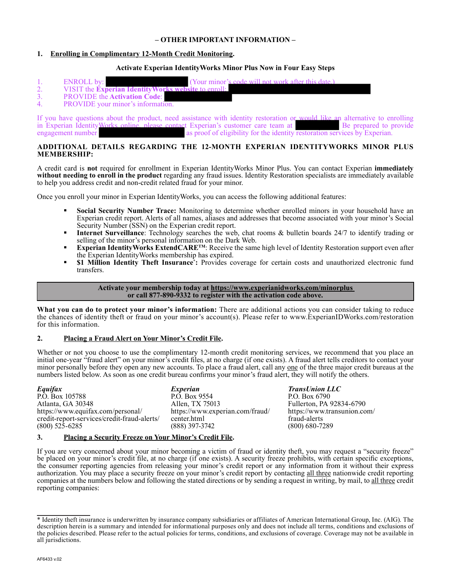### **– OTHER IMPORTANT INFORMATION –**

# **1. Enrolling in Complimentary 12-Month Credit Monitoring.**

### **Activate Experian IdentityWorks Minor Plus Now in Four Easy Steps**

| (Your minor's code will not work after this date.)<br><b>ENROLL</b> by: |
|-------------------------------------------------------------------------|
| VISIT the Experian Identity Works website to enroll:                    |
| <b>PROVIDE</b> the <b>Activation Code:</b>                              |
| <b>PROVIDE</b> vour minor's information.                                |

If you have questions about the product, need assistance with identity restoration or would like an alternative to enrolling in Experian Identity Works online, please contact Experian's customer care team at Be prepared to in Experian IdentityWorks online, please contact Experian's customer care team at engagement number as proof of eligibility for the identity as proof of eligibility for the identity restoration services by Experian.

### **ADDITIONAL DETAILS REGARDING THE 12-MONTH EXPERIAN IDENTITYWORKS MINOR PLUS MEMBERSHIP:**

A credit card is **not** required for enrollment in Experian IdentityWorks Minor Plus. You can contact Experian **immediately without needing to enroll in the product** regarding any fraud issues. Identity Restoration specialists are immediately available to help you address credit and non-credit related fraud for your minor.

Once you enroll your minor in Experian IdentityWorks, you can access the following additional features:

- **Social Security Number Trace:** Monitoring to determine whether enrolled minors in your household have an Experian credit report. Alerts of all names, aliases and addresses that become associated with your minor's Social Security Number (SSN) on the Experian credit report.
- **Internet Surveillance**: Technology searches the web, chat rooms & bulletin boards 24/7 to identify trading or selling of the minor's personal information on the Dark Web.
- **Experian IdentityWorks ExtendCARETM**: Receive the same high level of Identity Restoration support even after the Experian IdentityWorks membership has expired.
- **51 Million Identity Theft Insurance<sup>\*</sup>:** Provides coverage for certain costs and unauthorized electronic fund transfers.

### **Activate your membership today at https://www.experianidworks.com/minorplus or call 877-890-9332 to register with the activation code above.**

**What you can do to protect your minor's information:** There are additional actions you can consider taking to reduce the chances of identity theft or fraud on your minor's account(s). Please refer to www.ExperianIDWorks.com/restoration for this information.

# **2. Placing a Fraud Alert on Your Minor's Credit File.**

Whether or not you choose to use the complimentary 12-month credit monitoring services, we recommend that you place an initial one-year "fraud alert" on your minor's credit files, at no charge (if one exists). A fraud alert tells creditors to contact your minor personally before they open any new accounts. To place a fraud alert, call any one of the three major credit bureaus at the numbers listed below. As soon as one credit bureau confirms your minor's fraud alert, they will notify the others.

| Equifax                                     | Experian                        |
|---------------------------------------------|---------------------------------|
| P.O. Box 105788                             | P.O. Box 9554                   |
| Atlanta, GA 30348                           | Allen, TX 75013                 |
| https://www.equifax.com/personal/           | https://www.experian.com/fraud/ |
| credit-report-services/credit-fraud-alerts/ | center.html                     |
| $(800)$ 525-6285                            | $(888)$ 397-3742                |
|                                             |                                 |

*TransUnion LLC* P.O. Box 6790 Fullerton, PA 92834-6790 https://www.transunion.com/ fraud-alerts (800) 680-7289

# **3. Placing a Security Freeze on Your Minor's Credit File.**

If you are very concerned about your minor becoming a victim of fraud or identity theft, you may request a "security freeze" be placed on your minor's credit file, at no charge (if one exists). A security freeze prohibits, with certain specific exceptions, the consumer reporting agencies from releasing your minor's credit report or any information from it without their express authorization. You may place a security freeze on your minor's credit report by contacting all three nationwide credit reporting companies at the numbers below and following the stated directions or by sending a request in writing, by mail, to all three credit reporting companies:

<sup>\*</sup> Identity theft insurance is underwritten by insurance company subsidiaries or affiliates of American International Group, Inc. (AIG). The description herein is a summary and intended for informational purposes only and does not include all terms, conditions and exclusions of the policies described. Please refer to the actual policies for terms, conditions, and exclusions of coverage. Coverage may not be available in all jurisdictions.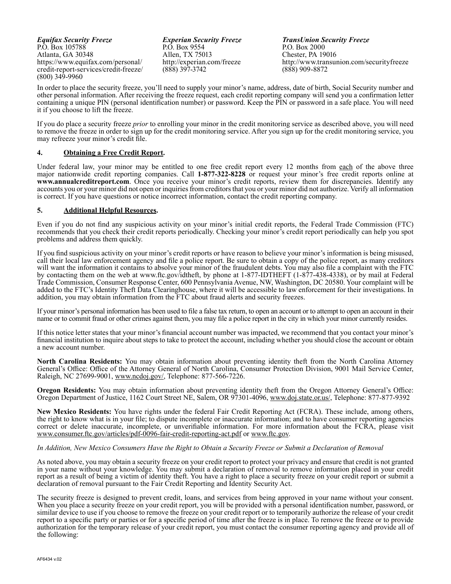*Equifax Security Freeze* P.O. Box 105788 Atlanta, GA 30348 https://www.equifax.com/personal/ credit-report-services/credit-freeze/ (800) 349-9960

*Experian Security Freeze* P.O. Box 9554 Allen, TX 75013 http://experian.com/freeze (888) 397-3742

*TransUnion Security Freeze* P.O. Box 2000 Chester, PA 19016 http://www.transunion.com/securityfreeze (888) 909-8872

In order to place the security freeze, you'll need to supply your minor's name, address, date of birth, Social Security number and other personal information. After receiving the freeze request, each credit reporting company will send you a confirmation letter containing a unique PIN (personal identification number) or password. Keep the PIN or password in a safe place. You will need it if you choose to lift the freeze.

If you do place a security freeze *prior* to enrolling your minor in the credit monitoring service as described above, you will need to remove the freeze in order to sign up for the credit monitoring service. After you sign up for the credit monitoring service, you may refreeze your minor's credit file.

# **4. Obtaining a Free Credit Report.**

Under federal law, your minor may be entitled to one free credit report every 12 months from each of the above three major nationwide credit reporting companies. Call **1-877-322-8228** or request your minor's free credit reports online at **www.annualcreditreport.com**. Once you receive your minor's credit reports, review them for discrepancies. Identify any accounts you or your minor did not open or inquiries from creditors that you or your minor did not authorize. Verify all information is correct. If you have questions or notice incorrect information, contact the credit reporting company.

### **5. Additional Helpful Resources.**

Even if you do not find any suspicious activity on your minor's initial credit reports, the Federal Trade Commission (FTC) recommends that you check their credit reports periodically. Checking your minor's credit report periodically can help you spot problems and address them quickly.

If you find suspicious activity on your minor's credit reports or have reason to believe your minor's information is being misused, call their local law enforcement agency and file a police report. Be sure to obtain a copy of the police report, as many creditors will want the information it contains to absolve your minor of the fraudulent debts. You may also file a complaint with the FTC by contacting them on the web at www.ftc.gov/idtheft, by phone at 1-877-IDTHEFT (1-877-438-4338), or by mail at Federal Trade Commission, Consumer Response Center, 600 Pennsylvania Avenue, NW, Washington, DC 20580. Your complaint will be added to the FTC's Identity Theft Data Clearinghouse, where it will be accessible to law enforcement for their investigations. In addition, you may obtain information from the FTC about fraud alerts and security freezes.

If your minor's personal information has been used to file a false tax return, to open an account or to attempt to open an account in their name or to commit fraud or other crimes against them, you may file a police report in the city in which your minor currently resides.

If this notice letter states that your minor's financial account number was impacted, we recommend that you contact your minor's financial institution to inquire about steps to take to protect the account, including whether you should close the account or obtain a new account number.

**North Carolina Residents:** You may obtain information about preventing identity theft from the North Carolina Attorney General's Office: Office of the Attorney General of North Carolina, Consumer Protection Division, 9001 Mail Service Center, Raleigh, NC 27699-9001, www.ncdoj.gov/, Telephone: 877-566-7226.

**Oregon Residents:** You may obtain information about preventing identity theft from the Oregon Attorney General's Office: Oregon Department of Justice, 1162 Court Street NE, Salem, OR 97301-4096, www.doj.state.or.us/, Telephone: 877-877-9392

**New Mexico Residents:** You have rights under the federal Fair Credit Reporting Act (FCRA). These include, among others, the right to know what is in your file; to dispute incomplete or inaccurate information; and to have consumer reporting agencies correct or delete inaccurate, incomplete, or unverifiable information. For more information about the FCRA, please visit www.consumer.ftc.gov/articles/pdf-0096-fair-credit-reporting-act.pdf or www.ftc.gov.

### *In Addition, New Mexico Consumers Have the Right to Obtain a Security Freeze or Submit a Declaration of Removal*

As noted above, you may obtain a security freeze on your credit report to protect your privacy and ensure that credit is not granted in your name without your knowledge. You may submit a declaration of removal to remove information placed in your credit report as a result of being a victim of identity theft. You have a right to place a security freeze on your credit report or submit a declaration of removal pursuant to the Fair Credit Reporting and Identity Security Act.

The security freeze is designed to prevent credit, loans, and services from being approved in your name without your consent. When you place a security freeze on your credit report, you will be provided with a personal identification number, password, or similar device to use if you choose to remove the freeze on your credit report or to temporarily authorize the release of your credit report to a specific party or parties or for a specific period of time after the freeze is in place. To remove the freeze or to provide authorization for the temporary release of your credit report, you must contact the consumer reporting agency and provide all of the following: